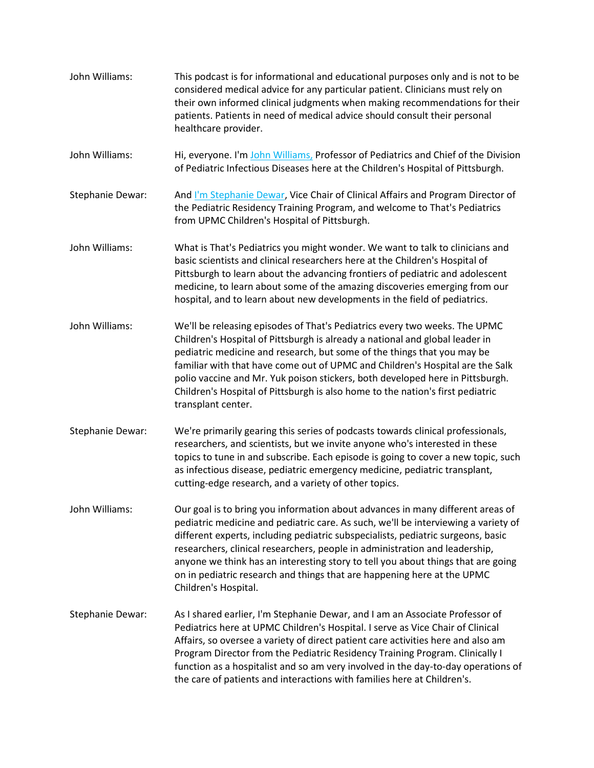John Williams: This podcast is for informational and educational purposes only and is not to be considered medical advice for any particular patient. Clinicians must rely on their own informed clinical judgments when making recommendations for their patients. Patients in need of medical advice should consult their personal healthcare provider. John Williams: Hi, everyone. I'm [John Williams,](http://www.chp.edu/find-a-doctor/service-providers/john-williams-206878) Professor of Pediatrics and Chief of the Division of Pediatric Infectious Diseases here at the Children's Hospital of Pittsburgh. Stephanie Dewar: And *I'm Stephanie Dewar*, Vice Chair of Clinical Affairs and Program Director of the Pediatric Residency Training Program, and welcome to That's Pediatrics from UPMC Children's Hospital of Pittsburgh. John Williams: What is That's Pediatrics you might wonder. We want to talk to clinicians and basic scientists and clinical researchers here at the Children's Hospital of Pittsburgh to learn about the advancing frontiers of pediatric and adolescent medicine, to learn about some of the amazing discoveries emerging from our hospital, and to learn about new developments in the field of pediatrics. John Williams: We'll be releasing episodes of That's Pediatrics every two weeks. The UPMC Children's Hospital of Pittsburgh is already a national and global leader in pediatric medicine and research, but some of the things that you may be familiar with that have come out of UPMC and Children's Hospital are the Salk polio vaccine and Mr. Yuk poison stickers, both developed here in Pittsburgh. Children's Hospital of Pittsburgh is also home to the nation's first pediatric transplant center. Stephanie Dewar: We're primarily gearing this series of podcasts towards clinical professionals, researchers, and scientists, but we invite anyone who's interested in these topics to tune in and subscribe. Each episode is going to cover a new topic, such as infectious disease, pediatric emergency medicine, pediatric transplant, cutting-edge research, and a variety of other topics. John Williams: Our goal is to bring you information about advances in many different areas of pediatric medicine and pediatric care. As such, we'll be interviewing a variety of different experts, including pediatric subspecialists, pediatric surgeons, basic researchers, clinical researchers, people in administration and leadership, anyone we think has an interesting story to tell you about things that are going on in pediatric research and things that are happening here at the UPMC Children's Hospital. Stephanie Dewar: As I shared earlier, I'm Stephanie Dewar, and I am an Associate Professor of Pediatrics here at UPMC Children's Hospital. I serve as Vice Chair of Clinical Affairs, so oversee a variety of direct patient care activities here and also am Program Director from the Pediatric Residency Training Program. Clinically I function as a hospitalist and so am very involved in the day-to-day operations of the care of patients and interactions with families here at Children's.